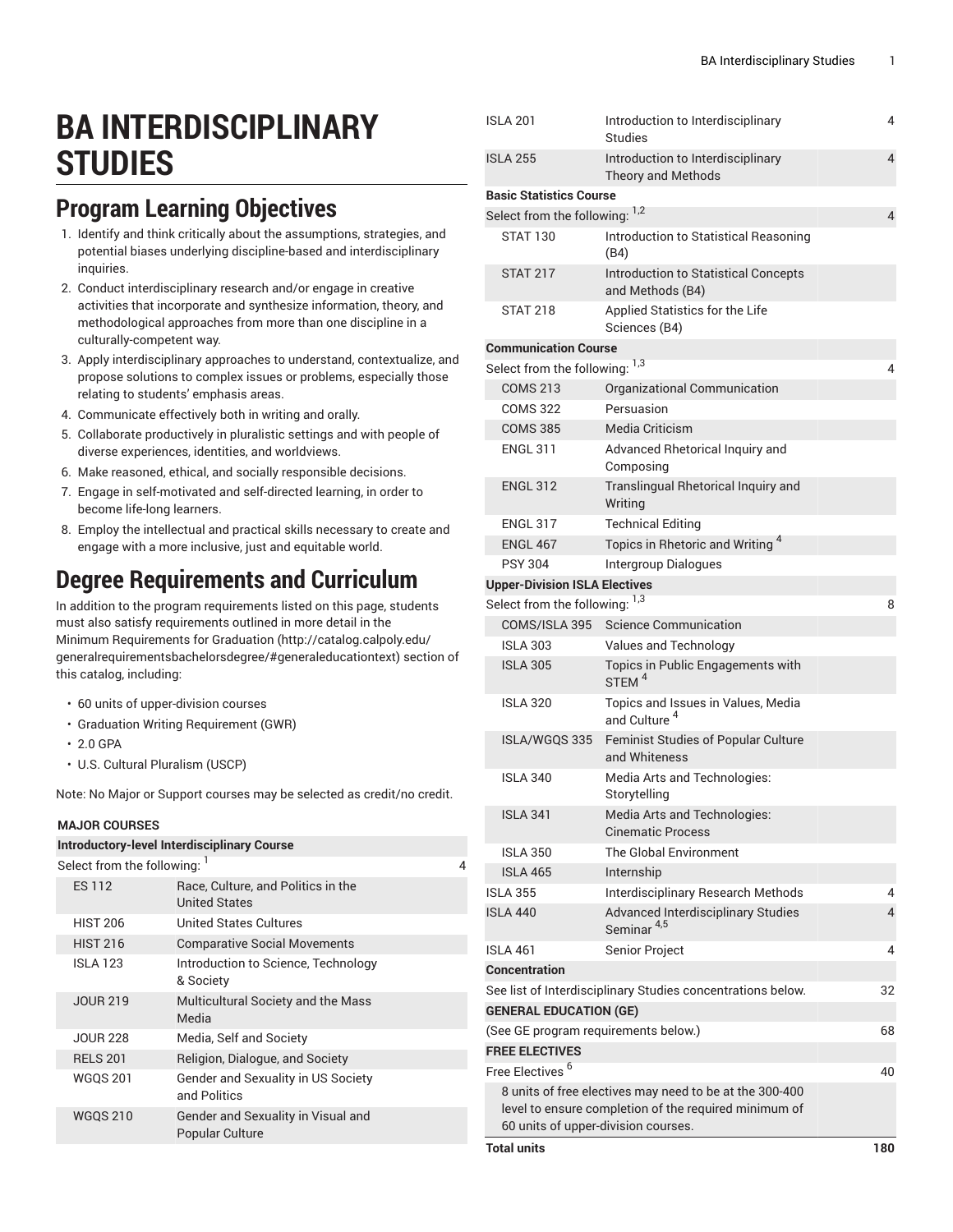# **BA INTERDISCIPLINARY STUDIES**

### **Program Learning Objectives**

- 1. Identify and think critically about the assumptions, strategies, and potential biases underlying discipline-based and interdisciplinary inquiries.
- 2. Conduct interdisciplinary research and/or engage in creative activities that incorporate and synthesize information, theory, and methodological approaches from more than one discipline in a culturally-competent way.
- 3. Apply interdisciplinary approaches to understand, contextualize, and propose solutions to complex issues or problems, especially those relating to students' emphasis areas.
- 4. Communicate effectively both in writing and orally.
- 5. Collaborate productively in pluralistic settings and with people of diverse experiences, identities, and worldviews.
- 6. Make reasoned, ethical, and socially responsible decisions.
- 7. Engage in self-motivated and self-directed learning, in order to become life-long learners.
- 8. Employ the intellectual and practical skills necessary to create and engage with a more inclusive, just and equitable world.

## **Degree Requirements and Curriculum**

In addition to the program requirements listed on this page, students must also satisfy requirements outlined in more detail in the Minimum [Requirements](http://catalog.calpoly.edu/generalrequirementsbachelorsdegree/#generaleducationtext) for Graduation ([http://catalog.calpoly.edu/](http://catalog.calpoly.edu/generalrequirementsbachelorsdegree/#generaleducationtext) [generalrequirementsbachelorsdegree/#generaleducationtext\)](http://catalog.calpoly.edu/generalrequirementsbachelorsdegree/#generaleducationtext) section of this catalog, including:

- 60 units of upper-division courses
- Graduation Writing Requirement (GWR)
- 2.0 GPA
- U.S. Cultural Pluralism (USCP)

Note: No Major or Support courses may be selected as credit/no credit.

#### **MAJOR COURSES**

| <b>Introductory-level Interdisciplinary Course</b>         |  |  |  |  |  |  |
|------------------------------------------------------------|--|--|--|--|--|--|
| Select from the following:                                 |  |  |  |  |  |  |
| Race, Culture, and Politics in the<br><b>United States</b> |  |  |  |  |  |  |
| United States Cultures                                     |  |  |  |  |  |  |
| <b>Comparative Social Movements</b>                        |  |  |  |  |  |  |
| Introduction to Science, Technology<br>& Society           |  |  |  |  |  |  |
| Multicultural Society and the Mass<br>Media                |  |  |  |  |  |  |
| Media, Self and Society                                    |  |  |  |  |  |  |
| Religion, Dialogue, and Society                            |  |  |  |  |  |  |
| Gender and Sexuality in US Society<br>and Politics         |  |  |  |  |  |  |
| Gender and Sexuality in Visual and<br>Popular Culture      |  |  |  |  |  |  |
|                                                            |  |  |  |  |  |  |

|                                                         | <b>ISLA 201</b>                      | Introduction to Interdisciplinary<br><b>Studies</b>                 | 4              |  |
|---------------------------------------------------------|--------------------------------------|---------------------------------------------------------------------|----------------|--|
|                                                         | <b>ISLA 255</b>                      | Introduction to Interdisciplinary<br>Theory and Methods             | $\overline{4}$ |  |
|                                                         | <b>Basic Statistics Course</b>       |                                                                     |                |  |
|                                                         | Select from the following: 1,2       |                                                                     | 4              |  |
|                                                         | <b>STAT 130</b>                      | Introduction to Statistical Reasoning<br>(B4)                       |                |  |
|                                                         | <b>STAT 217</b>                      | Introduction to Statistical Concepts<br>and Methods (B4)            |                |  |
|                                                         | <b>STAT 218</b>                      | Applied Statistics for the Life<br>Sciences (B4)                    |                |  |
|                                                         | <b>Communication Course</b>          |                                                                     |                |  |
|                                                         | Select from the following: 1,3       |                                                                     | 4              |  |
|                                                         | <b>COMS 213</b>                      | Organizational Communication                                        |                |  |
|                                                         | <b>COMS 322</b>                      | Persuasion                                                          |                |  |
|                                                         | <b>COMS 385</b>                      | Media Criticism                                                     |                |  |
|                                                         | <b>ENGL 311</b>                      | Advanced Rhetorical Inquiry and<br>Composing                        |                |  |
|                                                         | <b>ENGL 312</b>                      | Translingual Rhetorical Inquiry and<br>Writing                      |                |  |
|                                                         | <b>ENGL 317</b>                      | <b>Technical Editing</b>                                            |                |  |
|                                                         | <b>ENGL 467</b>                      | Topics in Rhetoric and Writing <sup>4</sup>                         |                |  |
|                                                         | <b>PSY 304</b>                       | <b>Intergroup Dialogues</b>                                         |                |  |
|                                                         | <b>Upper-Division ISLA Electives</b> |                                                                     |                |  |
|                                                         | Select from the following: 1,3       |                                                                     | 8              |  |
|                                                         | COMS/ISLA 395                        | <b>Science Communication</b>                                        |                |  |
|                                                         | <b>ISLA 303</b>                      | Values and Technology                                               |                |  |
|                                                         | <b>ISLA 305</b>                      | Topics in Public Engagements with<br>STEM <sup>4</sup>              |                |  |
|                                                         | <b>ISLA 320</b>                      | Topics and Issues in Values, Media<br>and Culture <sup>4</sup>      |                |  |
|                                                         | ISLA/WGQS 335                        | Feminist Studies of Popular Culture<br>and Whiteness                |                |  |
|                                                         | <b>ISLA 340</b>                      | Media Arts and Technologies:<br>Storytelling                        |                |  |
|                                                         | <b>ISLA 341</b>                      | Media Arts and Technologies:<br><b>Cinematic Process</b>            |                |  |
|                                                         | <b>ISLA 350</b>                      | The Global Environment                                              |                |  |
|                                                         | <b>ISLA 465</b>                      | Internship                                                          |                |  |
|                                                         | <b>ISLA 355</b>                      | Interdisciplinary Research Methods                                  | 4              |  |
|                                                         | <b>ISLA 440</b>                      | <b>Advanced Interdisciplinary Studies</b><br>Seminar <sup>4,5</sup> | 4              |  |
|                                                         | <b>ISLA 461</b>                      | Senior Project                                                      | 4              |  |
|                                                         | <b>Concentration</b>                 |                                                                     |                |  |
|                                                         |                                      | See list of Interdisciplinary Studies concentrations below.         | 32             |  |
|                                                         | <b>GENERAL EDUCATION (GE)</b>        |                                                                     |                |  |
|                                                         |                                      | (See GE program requirements below.)                                | 68             |  |
|                                                         | <b>FREE ELECTIVES</b>                |                                                                     |                |  |
|                                                         | Free Electives <sup>6</sup>          |                                                                     | 40             |  |
| 8 units of free electives may need to be at the 300-400 |                                      |                                                                     |                |  |
|                                                         |                                      | level to ensure completion of the required minimum of               |                |  |
| 60 units of upper-division courses.                     |                                      |                                                                     |                |  |
|                                                         | <b>Total units</b>                   |                                                                     | 180            |  |